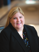